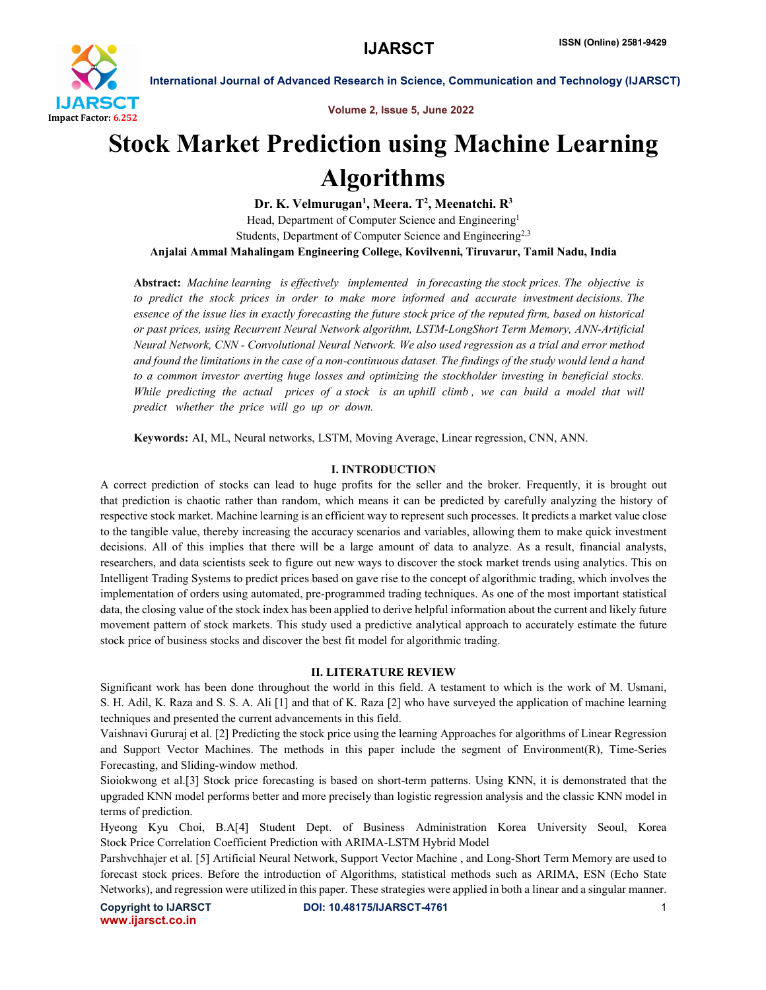

Volume 2, Issue 5, June 2022

# Stock Market Prediction using Machine Learning Algorithms

Dr. K. Velmurugan<sup>1</sup>, Meera. T<sup>2</sup>, Meenatchi. R<sup>3</sup> Head, Department of Computer Science and Engineering<sup>1</sup> Students, Department of Computer Science and Engineering<sup>2,3</sup> Anjalai Ammal Mahalingam Engineering College, Kovilvenni, Tiruvarur, Tamil Nadu, India

Abstract: *Machine learning is effectively implemented in forecasting the stock prices. The objective is to predict the stock prices in order to make more informed and accurate investment decisions. The essence of the issue lies in exactly forecasting the future stock price of the reputed firm, based on historical or past prices, using Recurrent Neural Network algorithm, LSTM-LongShort Term Memory, ANN-Artificial Neural Network, CNN - Convolutional Neural Network. We also used regression as a trial and error method and found the limitations in the case of a non-continuous dataset. The findings of the study would lend a hand to a common investor averting huge losses and optimizing the stockholder investing in beneficial stocks. While predicting the actual prices of a stock is an uphill climb , we can build a model that will predict whether the price will go up or down.*

Keywords: AI, ML, Neural networks, LSTM, Moving Average, Linear regression, CNN, ANN.

# I. INTRODUCTION

A correct prediction of stocks can lead to huge profits for the seller and the broker. Frequently, it is brought out that prediction is chaotic rather than random, which means it can be predicted by carefully analyzing the history of respective stock market. Machine learning is an efficient way to represent such processes. It predicts a market value close to the tangible value, thereby increasing the accuracy scenarios and variables, allowing them to make quick investment decisions. All of this implies that there will be a large amount of data to analyze. As a result, financial analysts, researchers, and data scientists seek to figure out new ways to discover the stock market trends using analytics. This on Intelligent Trading Systems to predict prices based on gave rise to the concept of algorithmic trading, which involves the implementation of orders using automated, pre-programmed trading techniques. As one of the most important statistical data, the closing value of the stock index has been applied to derive helpful information about the current and likely future movement pattern of stock markets. This study used a predictive analytical approach to accurately estimate the future stock price of business stocks and discover the best fit model for algorithmic trading.

# II. LITERATURE REVIEW

Significant work has been done throughout the world in this field. A testament to which is the work of M. Usmani, S. H. Adil, K. Raza and S. S. A. Ali [1] and that of K. Raza [2] who have surveyed the application of machine learning techniques and presented the current advancements in this field.

Vaishnavi Gururaj et al. [2] Predicting the stock price using the learning Approaches for algorithms of Linear Regression and Support Vector Machines. The methods in this paper include the segment of Environment(R), Time-Series Forecasting, and Sliding-window method.

Sioiokwong et al.[3] Stock price forecasting is based on short-term patterns. Using KNN, it is demonstrated that the upgraded KNN model performs better and more precisely than logistic regression analysis and the classic KNN model in terms of prediction.

Hyeong Kyu Choi, B.A[4] Student Dept. of Business Administration Korea University Seoul, Korea Stock Price Correlation Coefficient Prediction with ARIMA-LSTM Hybrid Model

Parshvchhajer et al. [5] Artificial Neural Network, Support Vector Machine , and Long-Short Term Memory are used to forecast stock prices. Before the introduction of Algorithms, statistical methods such as ARIMA, ESN (Echo State Networks), and regression were utilized in this paper. These strategies were applied in both a linear and a singular manner.

www.ijarsct.co.in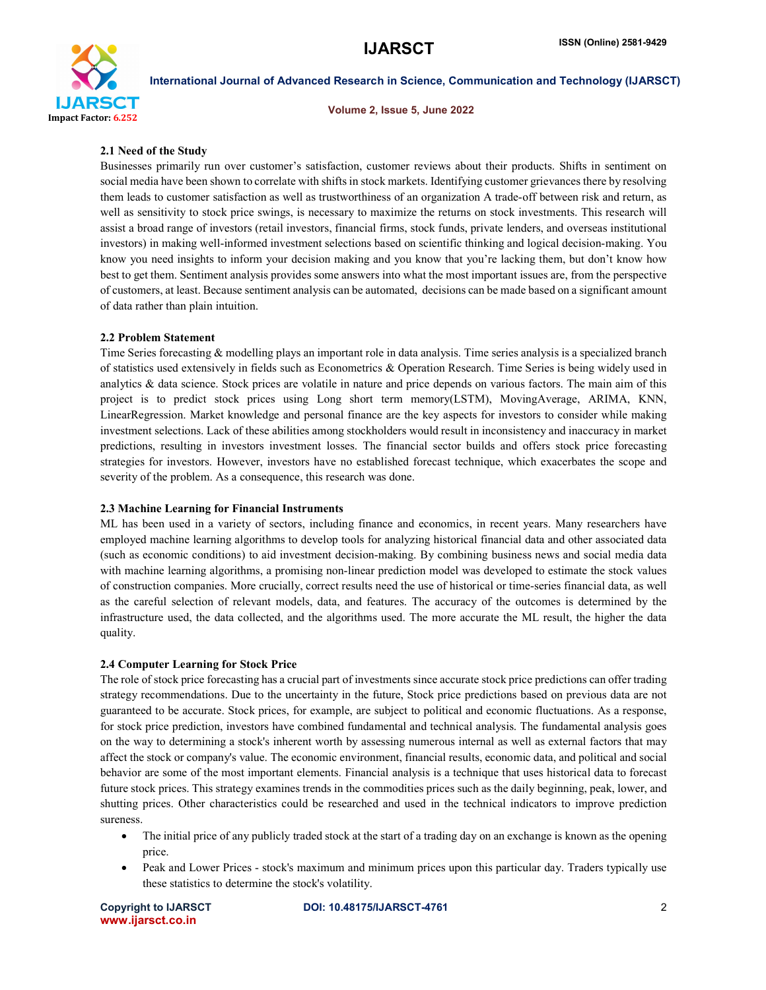

Volume 2, Issue 5, June 2022

# 2.1 Need of the Study

Businesses primarily run over customer's satisfaction, customer reviews about their products. Shifts in sentiment on social media have been shown to correlate with shifts in stock markets. Identifying customer grievances there by resolving them leads to customer satisfaction as well as trustworthiness of an organization A trade-off between risk and return, as well as sensitivity to stock price swings, is necessary to maximize the returns on stock investments. This research will assist a broad range of investors (retail investors, financial firms, stock funds, private lenders, and overseas institutional investors) in making well-informed investment selections based on scientific thinking and logical decision-making. You know you need insights to inform your decision making and you know that you're lacking them, but don't know how best to get them. Sentiment analysis provides some answers into what the most important issues are, from the perspective of customers, at least. Because sentiment analysis can be automated, decisions can be made based on a significant amount of data rather than plain intuition.

# 2.2 Problem Statement

Time Series forecasting & modelling plays an important role in data analysis. Time series analysis is a specialized branch of statistics used extensively in fields such as Econometrics & Operation Research. Time Series is being widely used in analytics & data science. Stock prices are volatile in nature and price depends on various factors. The main aim of this project is to predict stock prices using Long short term memory(LSTM), MovingAverage, ARIMA, KNN, LinearRegression. Market knowledge and personal finance are the key aspects for investors to consider while making investment selections. Lack of these abilities among stockholders would result in inconsistency and inaccuracy in market predictions, resulting in investors investment losses. The financial sector builds and offers stock price forecasting strategies for investors. However, investors have no established forecast technique, which exacerbates the scope and severity of the problem. As a consequence, this research was done.

# 2.3 Machine Learning for Financial Instruments

ML has been used in a variety of sectors, including finance and economics, in recent years. Many researchers have employed machine learning algorithms to develop tools for analyzing historical financial data and other associated data (such as economic conditions) to aid investment decision-making. By combining business news and social media data with machine learning algorithms, a promising non-linear prediction model was developed to estimate the stock values of construction companies. More crucially, correct results need the use of historical or time-series financial data, as well as the careful selection of relevant models, data, and features. The accuracy of the outcomes is determined by the infrastructure used, the data collected, and the algorithms used. The more accurate the ML result, the higher the data quality.

# 2.4 Computer Learning for Stock Price

The role of stock price forecasting has a crucial part of investments since accurate stock price predictions can offer trading strategy recommendations. Due to the uncertainty in the future, Stock price predictions based on previous data are not guaranteed to be accurate. Stock prices, for example, are subject to political and economic fluctuations. As a response, for stock price prediction, investors have combined fundamental and technical analysis. The fundamental analysis goes on the way to determining a stock's inherent worth by assessing numerous internal as well as external factors that may affect the stock or company's value. The economic environment, financial results, economic data, and political and social behavior are some of the most important elements. Financial analysis is a technique that uses historical data to forecast future stock prices. This strategy examines trends in the commodities prices such as the daily beginning, peak, lower, and shutting prices. Other characteristics could be researched and used in the technical indicators to improve prediction sureness.

- The initial price of any publicly traded stock at the start of a trading day on an exchange is known as the opening price.
- Peak and Lower Prices stock's maximum and minimum prices upon this particular day. Traders typically use these statistics to determine the stock's volatility.

www.ijarsct.co.in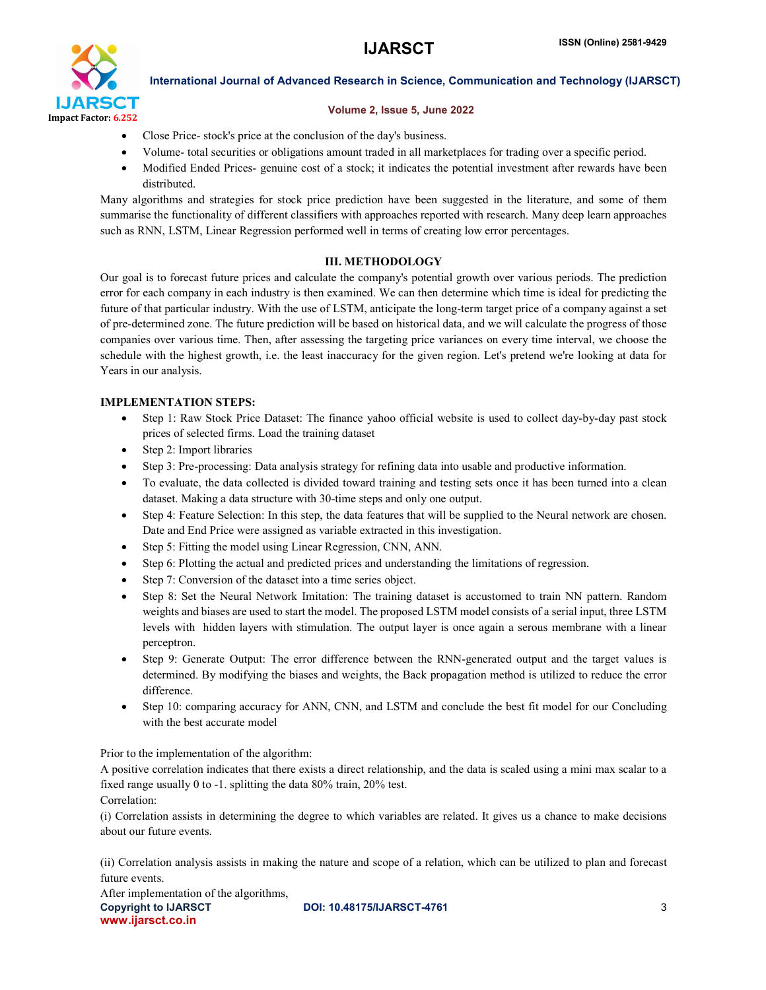

# Volume 2, Issue 5, June 2022

- Close Price- stock's price at the conclusion of the day's business.
- Volume- total securities or obligations amount traded in all marketplaces for trading over a specific period.
- Modified Ended Prices- genuine cost of a stock; it indicates the potential investment after rewards have been distributed.

Many algorithms and strategies for stock price prediction have been suggested in the literature, and some of them summarise the functionality of different classifiers with approaches reported with research. Many deep learn approaches such as RNN, LSTM, Linear Regression performed well in terms of creating low error percentages.

# III. METHODOLOGY

Our goal is to forecast future prices and calculate the company's potential growth over various periods. The prediction error for each company in each industry is then examined. We can then determine which time is ideal for predicting the future of that particular industry. With the use of LSTM, anticipate the long-term target price of a company against a set of pre-determined zone. The future prediction will be based on historical data, and we will calculate the progress of those companies over various time. Then, after assessing the targeting price variances on every time interval, we choose the schedule with the highest growth, i.e. the least inaccuracy for the given region. Let's pretend we're looking at data for Years in our analysis.

# IMPLEMENTATION STEPS:

- Step 1: Raw Stock Price Dataset: The finance yahoo official website is used to collect day-by-day past stock prices of selected firms. Load the training dataset
- Step 2: Import libraries
- Step 3: Pre-processing: Data analysis strategy for refining data into usable and productive information.
- To evaluate, the data collected is divided toward training and testing sets once it has been turned into a clean dataset. Making a data structure with 30-time steps and only one output.
- Step 4: Feature Selection: In this step, the data features that will be supplied to the Neural network are chosen. Date and End Price were assigned as variable extracted in this investigation.
- Step 5: Fitting the model using Linear Regression, CNN, ANN.
- Step 6: Plotting the actual and predicted prices and understanding the limitations of regression.
- Step 7: Conversion of the dataset into a time series object.
- Step 8: Set the Neural Network Imitation: The training dataset is accustomed to train NN pattern. Random weights and biases are used to start the model. The proposed LSTM model consists of a serial input, three LSTM levels with hidden layers with stimulation. The output layer is once again a serous membrane with a linear perceptron.
- Step 9: Generate Output: The error difference between the RNN-generated output and the target values is determined. By modifying the biases and weights, the Back propagation method is utilized to reduce the error difference.
- Step 10: comparing accuracy for ANN, CNN, and LSTM and conclude the best fit model for our Concluding with the best accurate model

Prior to the implementation of the algorithm:

A positive correlation indicates that there exists a direct relationship, and the data is scaled using a mini max scalar to a fixed range usually 0 to -1. splitting the data 80% train, 20% test.

Correlation:

(i) Correlation assists in determining the degree to which variables are related. It gives us a chance to make decisions about our future events.

(ii) Correlation analysis assists in making the nature and scope of a relation, which can be utilized to plan and forecast future events.

Copyright to IJARSCT **DOI: 10.48175/IJARSCT-4761** 3 www.ijarsct.co.in After implementation of the algorithms,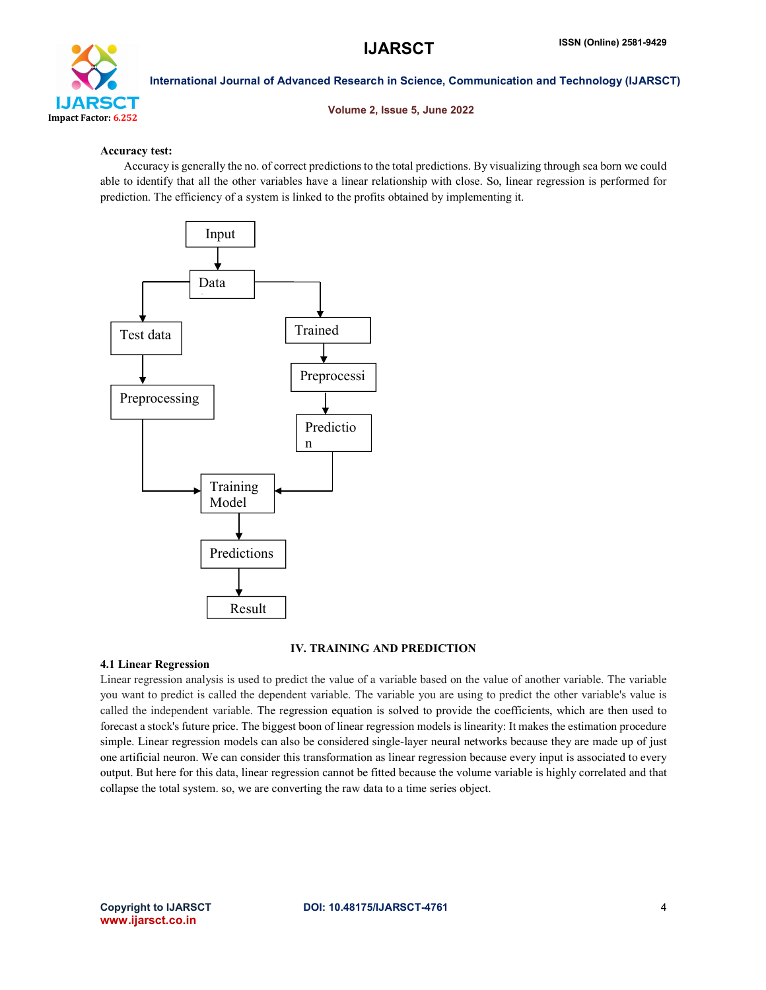

Volume 2, Issue 5, June 2022

# Accuracy test:

 Accuracy is generally the no. of correct predictions to the total predictions. By visualizing through sea born we could able to identify that all the other variables have a linear relationship with close. So, linear regression is performed for prediction. The efficiency of a system is linked to the profits obtained by implementing it.



# IV. TRAINING AND PREDICTION

# 4.1 Linear Regression

Linear regression analysis is used to predict the value of a variable based on the value of another variable. The variable you want to predict is called the dependent variable. The variable you are using to predict the other variable's value is called the independent variable. The regression equation is solved to provide the coefficients, which are then used to forecast a stock's future price. The biggest boon of linear regression models is linearity: It makes the estimation procedure simple. Linear regression models can also be considered single-layer neural networks because they are made up of just one artificial neuron. We can consider this transformation as linear regression because every input is associated to every output. But here for this data, linear regression cannot be fitted because the volume variable is highly correlated and that collapse the total system. so, we are converting the raw data to a time series object.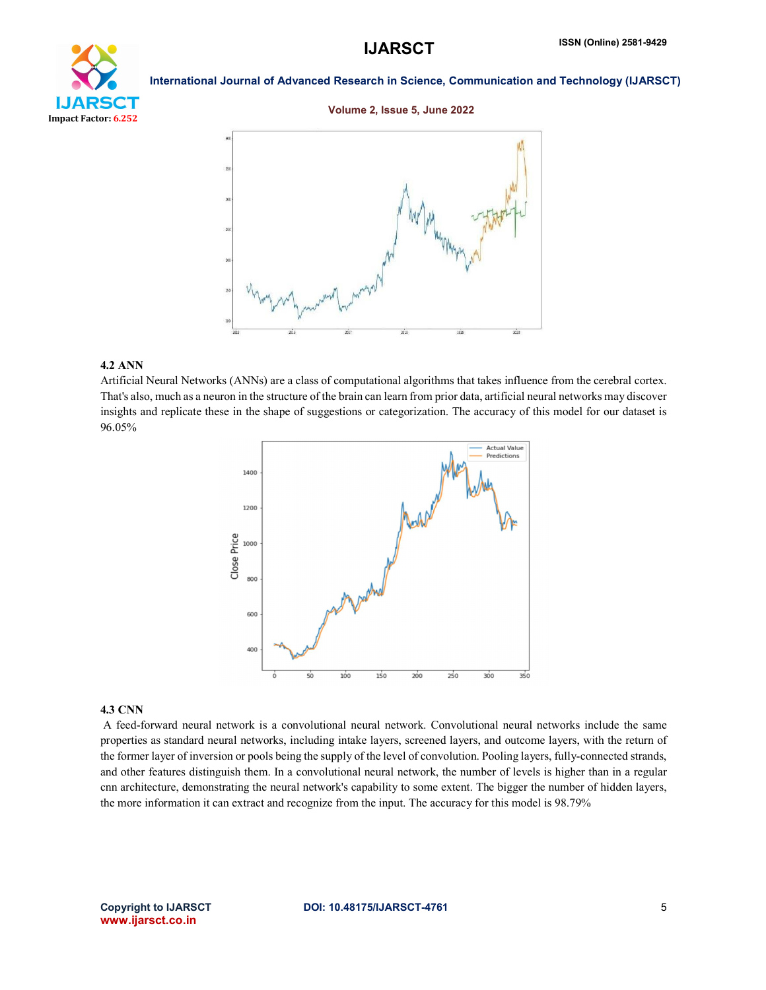# **IJARSCT** ISSN (Online) 2581-9429



Impact Factor: 6.252

International Journal of Advanced Research in Science, Communication and Technology (IJARSCT)

# Volume 2, Issue 5, June 2022



# 4.2 ANN

Artificial Neural Networks (ANNs) are a class of computational algorithms that takes influence from the cerebral cortex. That's also, much as a neuron in the structure of the brain can learn from prior data, artificial neural networks may discover insights and replicate these in the shape of suggestions or categorization. The accuracy of this model for our dataset is 96.05%



## 4.3 CNN

A feed-forward neural network is a convolutional neural network. Convolutional neural networks include the same properties as standard neural networks, including intake layers, screened layers, and outcome layers, with the return of the former layer of inversion or pools being the supply of the level of convolution. Pooling layers, fully-connected strands, and other features distinguish them. In a convolutional neural network, the number of levels is higher than in a regular cnn architecture, demonstrating the neural network's capability to some extent. The bigger the number of hidden layers, the more information it can extract and recognize from the input. The accuracy for this model is 98.79%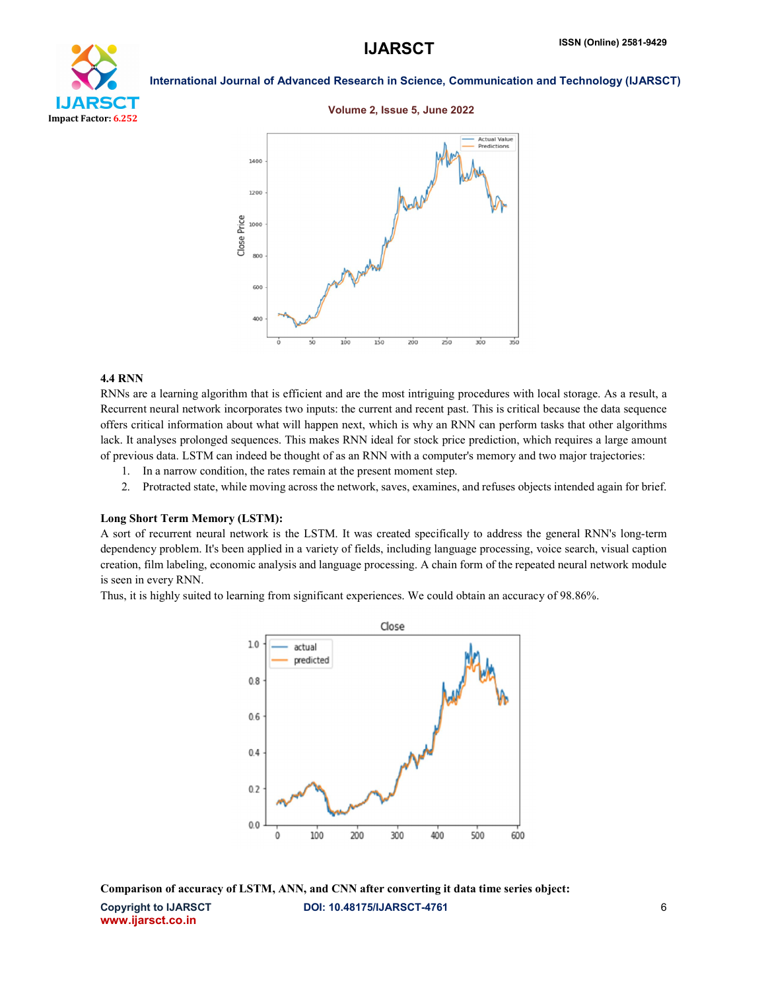# YТ Impact Factor: 6.252

International Journal of Advanced Research in Science, Communication and Technology (IJARSCT)

## Volume 2, Issue 5, June 2022



# 4.4 RNN

RNNs are a learning algorithm that is efficient and are the most intriguing procedures with local storage. As a result, a Recurrent neural network incorporates two inputs: the current and recent past. This is critical because the data sequence offers critical information about what will happen next, which is why an RNN can perform tasks that other algorithms lack. It analyses prolonged sequences. This makes RNN ideal for stock price prediction, which requires a large amount of previous data. LSTM can indeed be thought of as an RNN with a computer's memory and two major trajectories:

- 1. In a narrow condition, the rates remain at the present moment step.
- 2. Protracted state, while moving across the network, saves, examines, and refuses objects intended again for brief.

# Long Short Term Memory (LSTM):

A sort of recurrent neural network is the LSTM. It was created specifically to address the general RNN's long-term dependency problem. It's been applied in a variety of fields, including language processing, voice search, visual caption creation, film labeling, economic analysis and language processing. A chain form of the repeated neural network module is seen in every RNN.

Thus, it is highly suited to learning from significant experiences. We could obtain an accuracy of 98.86%.



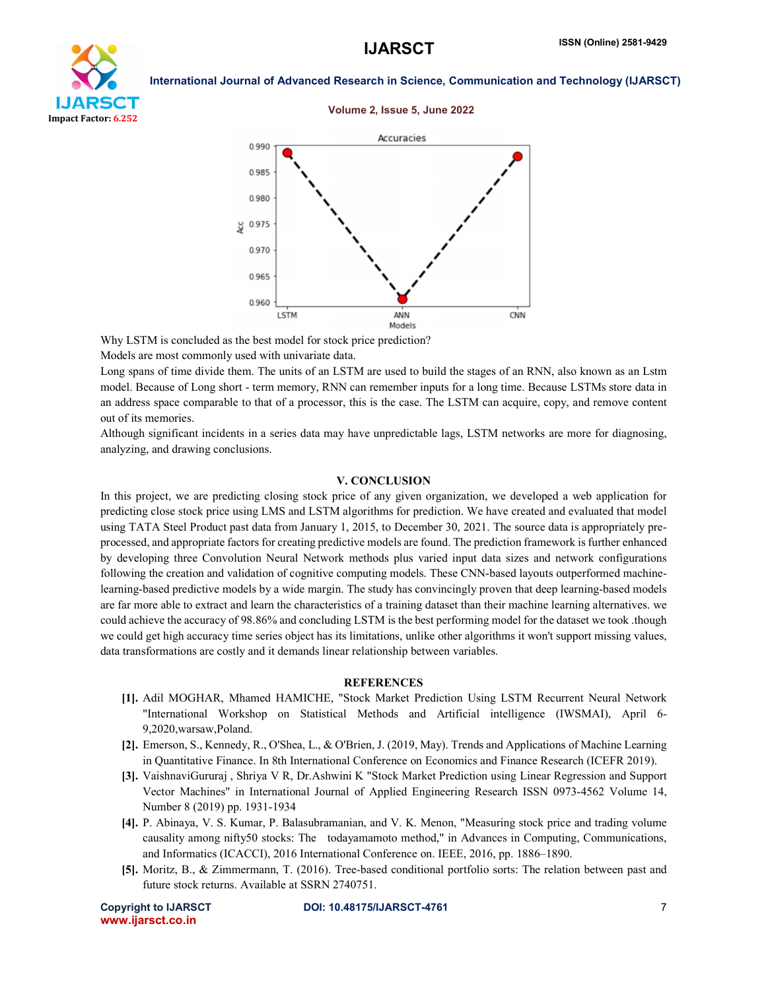

### Volume 2, Issue 5, June 2022



Why LSTM is concluded as the best model for stock price prediction?

Models are most commonly used with univariate data.

Long spans of time divide them. The units of an LSTM are used to build the stages of an RNN, also known as an Lstm model. Because of Long short - term memory, RNN can remember inputs for a long time. Because LSTMs store data in an address space comparable to that of a processor, this is the case. The LSTM can acquire, copy, and remove content out of its memories.

Although significant incidents in a series data may have unpredictable lags, LSTM networks are more for diagnosing, analyzing, and drawing conclusions.

# V. CONCLUSION

In this project, we are predicting closing stock price of any given organization, we developed a web application for predicting close stock price using LMS and LSTM algorithms for prediction. We have created and evaluated that model using TATA Steel Product past data from January 1, 2015, to December 30, 2021. The source data is appropriately preprocessed, and appropriate factors for creating predictive models are found. The prediction framework is further enhanced by developing three Convolution Neural Network methods plus varied input data sizes and network configurations following the creation and validation of cognitive computing models. These CNN-based layouts outperformed machinelearning-based predictive models by a wide margin. The study has convincingly proven that deep learning-based models are far more able to extract and learn the characteristics of a training dataset than their machine learning alternatives. we could achieve the accuracy of 98.86% and concluding LSTM is the best performing model for the dataset we took .though we could get high accuracy time series object has its limitations, unlike other algorithms it won't support missing values, data transformations are costly and it demands linear relationship between variables.

# **REFERENCES**

- [1]. Adil MOGHAR, Mhamed HAMICHE, "Stock Market Prediction Using LSTM Recurrent Neural Network "International Workshop on Statistical Methods and Artificial intelligence (IWSMAI), April 6- 9,2020,warsaw,Poland.
- [2]. Emerson, S., Kennedy, R., O'Shea, L., & O'Brien, J. (2019, May). Trends and Applications of Machine Learning in Quantitative Finance. In 8th International Conference on Economics and Finance Research (ICEFR 2019).
- [3]. VaishnaviGururaj , Shriya V R, Dr.Ashwini K "Stock Market Prediction using Linear Regression and Support Vector Machines" in International Journal of Applied Engineering Research ISSN 0973-4562 Volume 14, Number 8 (2019) pp. 1931-1934
- [4]. P. Abinaya, V. S. Kumar, P. Balasubramanian, and V. K. Menon, "Measuring stock price and trading volume causality among nifty50 stocks: The todayamamoto method," in Advances in Computing, Communications, and Informatics (ICACCI), 2016 International Conference on. IEEE, 2016, pp. 1886–1890.
- [5]. Moritz, B., & Zimmermann, T. (2016). Tree-based conditional portfolio sorts: The relation between past and future stock returns. Available at SSRN 2740751.

www.ijarsct.co.in